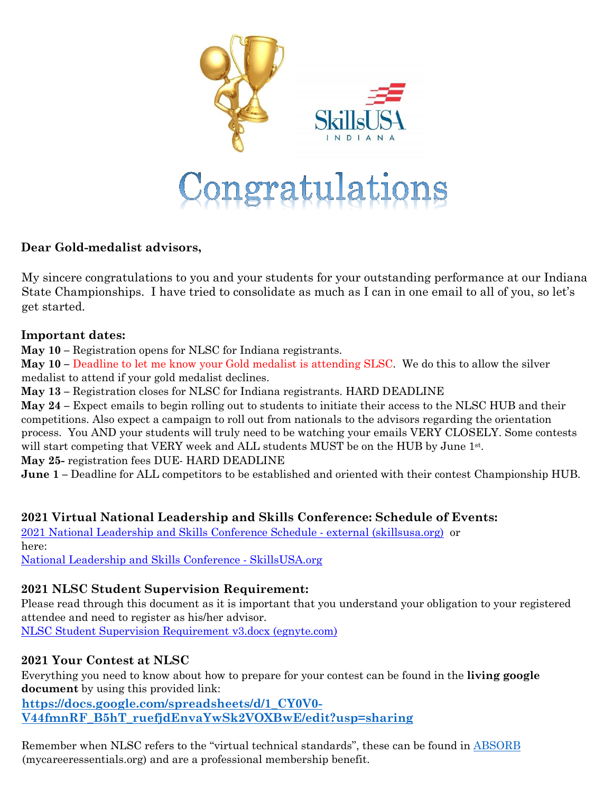

# **Dear Gold-medalist advisors,**

My sincere congratulations to you and your students for your outstanding performance at our Indiana State Championships. I have tried to consolidate as much as I can in one email to all of you, so let's get started.

### **Important dates:**

**May 10 –** Registration opens for NLSC for Indiana registrants.

**May 10 –** Deadline to let me know your Gold medalist is attending SLSC. We do this to allow the silver medalist to attend if your gold medalist declines.

**May 13 –** Registration closes for NLSC for Indiana registrants. HARD DEADLINE

**May 24 –** Expect emails to begin rolling out to students to initiate their access to the NLSC HUB and their competitions. Also expect a campaign to roll out from nationals to the advisors regarding the orientation process. You AND your students will truly need to be watching your emails VERY CLOSELY. Some contests will start competing that VERY week and ALL students MUST be on the HUB by June 1st. **May 25-** registration fees DUE- HARD DEADLINE

**June 1 –** Deadline for ALL competitors to be established and oriented with their contest Championship HUB.

# **2021 Virtual National Leadership and Skills Conference: Schedule of Events:**

[2021 National Leadership and Skills Conference Schedule -](https://www.skillsusa.org/wp-content/uploads/2021/03/2021-National-Leadership-and-Skills-Conference-Schedule.pdf) [external \(skillsusa.org\)](https://www.skillsusa.org/wp-content/uploads/2021/03/2021-National-Leadership-and-Skills-Conference-Schedule.pdf) or here:

[National Leadership and Skills Conference -](https://www.skillsusa.org/events-training/national-leadership-and-skills-conference/) [SkillsUSA.org](https://www.skillsusa.org/events-training/national-leadership-and-skills-conference/)

# **2021 NLSC Student Supervision Requirement:**

Please read through this document as it is important that you understand your obligation to your registered attendee and need to register as his/her advisor.

[NLSC Student Supervision Requirement v3.docx \(egnyte.com\)](https://skillsusa.egnyte.com/dl/sW7WN9EowG/?)

# **2021 Your Contest at NLSC**

Everything you need to know about how to prepare for your contest can be found in the **living google document** by using this provided link:

**[https://docs.google.com/spreadsheets/d/1\\_CY0V0-](https://docs.google.com/spreadsheets/d/1_CY0V0-V44fmnRF_B5hT_ruefjdEnvaYwSk2-VOXBwE/edit?usp=sharing) [V44fmnRF\\_B5hT\\_ruefjdEnvaYwSk2VOXBwE/edit?usp=sharing](https://docs.google.com/spreadsheets/d/1_CY0V0-V44fmnRF_B5hT_ruefjdEnvaYwSk2-VOXBwE/edit?usp=sharing)**

Remember when NLSC refers to the "virtual technical standards", these can be found in [ABSORB](https://mycareeressentials.org/#/public-dashboard) (mycareeressentials.org) and are a professional membership benefit.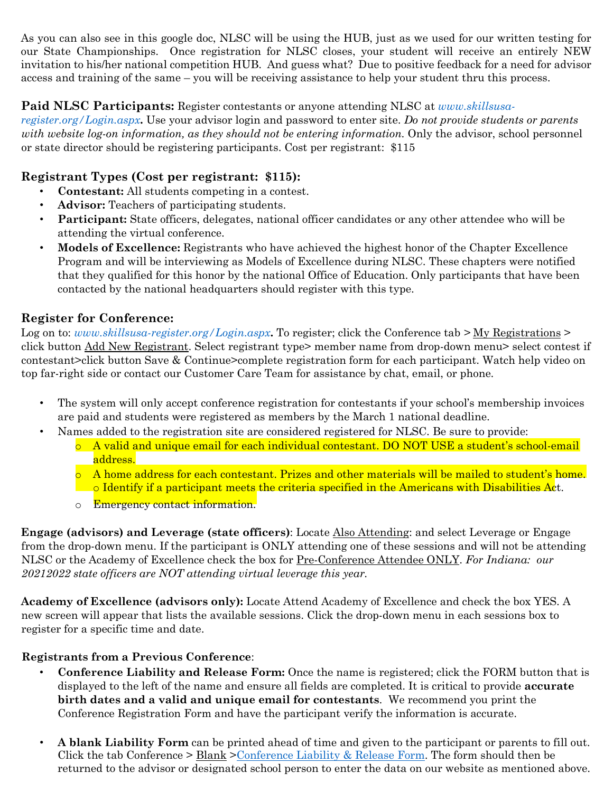As you can also see in this google doc, NLSC will be using the HUB, just as we used for our written testing for our State Championships. Once registration for NLSC closes, your student will receive an entirely NEW invitation to his/her national competition HUB. And guess what? Due to positive feedback for a need for advisor access and training of the same – you will be receiving assistance to help your student thru this process.

### **Paid NLSC Participants:** Register contestants or anyone attending NLSC at *[www.skillsusa-](http://www.skillsusa-register.org/Login.aspx)*

*[register.org/Login.aspx](http://www.skillsusa-register.org/Login.aspx)***[.](http://www.skillsusa-register.org/Login.aspx)** Use your advisor login and password to enter site. *Do not provide students or parents with website log-on information, as they should not be entering information.* Only the advisor, school personnel or state director should be registering participants. Cost per registrant: \$115

# **Registrant Types (Cost per registrant: \$115):**

- **Contestant:** All students competing in a contest.
- **Advisor:** Teachers of participating students.
- **Participant:** State officers, delegates, national officer candidates or any other attendee who will be attending the virtual conference.
- **Models of Excellence:** Registrants who have achieved the highest honor of the Chapter Excellence Program and will be interviewing as Models of Excellence during NLSC. These chapters were notified that they qualified for this honor by the national Office of Education. Only participants that have been contacted by the national headquarters should register with this type.

# **Register for Conference:**

Log on to: *[www.skillsusa-register.org/Login.aspx](http://www.skillsusa-register.org/Login.aspx)***[.](http://www.skillsusa-register.org/Login.aspx)** To register; click the Conference tab *>* My Registrations > click button Add New Registrant. Select registrant type> member name from drop-down menu> select contest if contestant>click button Save & Continue>complete registration form for each participant. Watch help video on top far-right side or contact our Customer Care Team for assistance by chat, email, or phone.

- The system will only accept conference registration for contestants if your school's membership invoices are paid and students were registered as members by the March 1 national deadline.
- Names added to the registration site are considered registered for NLSC. Be sure to provide:
	- o A valid and unique email for each individual contestant. DO NOT USE a student's school-email address.
	- o A home address for each contestant. Prizes and other materials will be mailed to student's home.  $\circ$  Identify if a participant meets the criteria specified in the Americans with Disabilities Act.
	- o Emergency contact information.

**Engage (advisors) and Leverage (state officers)**: Locate Also Attending: and select Leverage or Engage from the drop-down menu. If the participant is ONLY attending one of these sessions and will not be attending NLSC or the Academy of Excellence check the box for Pre-Conference Attendee ONLY. *For Indiana: our 20212022 state officers are NOT attending virtual leverage this year.*

**Academy of Excellence (advisors only):** Locate Attend Academy of Excellence and check the box YES. A new screen will appear that lists the available sessions. Click the drop-down menu in each sessions box to register for a specific time and date.

# **Registrants from a Previous Conference**:

- **Conference Liability and Release Form:** Once the name is registered; click the FORM button that is displayed to the left of the name and ensure all fields are completed. It is critical to provide **accurate birth dates and a valid and unique email for contestants**. We recommend you print the Conference Registration Form and have the participant verify the information is accurate.
- **A blank Liability Form** can be printed ahead of time and given to the participant or parents to fill out. Click the tab Conference > Blank [>Conference Liability & Release Form.](http://skillsusa.org/wp-content/uploads/2015/01/NLSC-Registration-Form-2014-15.pdf) The form should then be returned to the advisor or designated school person to enter the data on our website as mentioned above.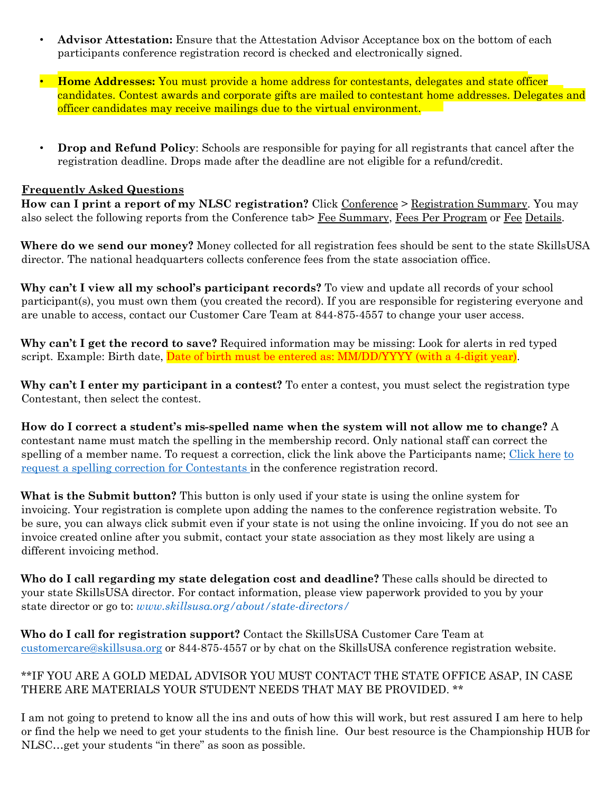- **Advisor Attestation:** Ensure that the Attestation Advisor Acceptance box on the bottom of each participants conference registration record is checked and electronically signed.
- **Home Addresses:** You must provide a home address for contestants, delegates and state officer candidates. Contest awards and corporate gifts are mailed to contestant home addresses. Delegates and officer candidates may receive mailings due to the virtual environment.
- **Drop and Refund Policy**: Schools are responsible for paying for all registrants that cancel after the registration deadline. Drops made after the deadline are not eligible for a refund/credit.

#### **Frequently Asked Questions**

**How can I print a report of my NLSC registration?** Click Conference > Registration Summary. You may also select the following reports from the Conference tab> Fee Summary, Fees Per Program or Fee Details.

**Where do we send our money?** Money collected for all registration fees should be sent to the state SkillsUSA director. The national headquarters collects conference fees from the state association office.

**Why can't I view all my school's participant records?** To view and update all records of your school participant(s), you must own them (you created the record). If you are responsible for registering everyone and are unable to access, contact our Customer Care Team at 844-875-4557 to change your user access.

**Why can't I get the record to save?** Required information may be missing: Look for alerts in red typed script. Example: Birth date, Date of birth must be entered as: MM/DD/YYYY (with a 4-digit year).

**Why can't I enter my participant in a contest?** To enter a contest, you must select the registration type Contestant, then select the contest.

**How do I correct a student's mis-spelled name when the system will not allow me to change?** A contestant name must match the spelling in the membership record. Only national staff can correct the spelling of a member name. To request a correction, click the link above the Participants name; [Click here](https://skillsusa.wufoo.com/forms/request-to-change-name-spelling/) to [request a spelling correction for Contestants](https://skillsusa.wufoo.com/forms/request-to-change-name-spelling/) [i](https://skillsusa.wufoo.com/forms/request-to-change-name-spelling/)n the conference registration record.

**What is the Submit button?** This button is only used if your state is using the online system for invoicing. Your registration is complete upon adding the names to the conference registration website. To be sure, you can always click submit even if your state is not using the online invoicing. If you do not see an invoice created online after you submit, contact your state association as they most likely are using a different invoicing method.

**Who do I call regarding my state delegation cost and deadline?** These calls should be directed to your state SkillsUSA director. For contact information, please view paperwork provided to you by your state director or go to: *[www.skillsusa.org/about/state-directors/](http://www.skillsusa.org/about/state-directors/)*

**Who do I call for registration support?** Contact the SkillsUSA Customer Care Team at customercare@skillsusa.org or 844-875-4557 or by chat on the SkillsUSA conference registration website.

#### \*\*IF YOU ARE A GOLD MEDAL ADVISOR YOU MUST CONTACT THE STATE OFFICE ASAP, IN CASE THERE ARE MATERIALS YOUR STUDENT NEEDS THAT MAY BE PROVIDED. \*\*

I am not going to pretend to know all the ins and outs of how this will work, but rest assured I am here to help or find the help we need to get your students to the finish line. Our best resource is the Championship HUB for NLSC…get your students "in there" as soon as possible.